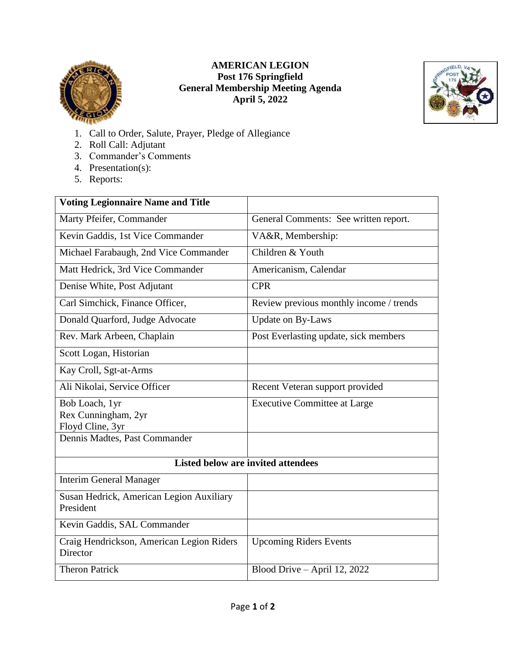

## **AMERICAN LEGION Post 176 Springfield General Membership Meeting Agenda April 5, 2022**



- 1. Call to Order, Salute, Prayer, Pledge of Allegiance
- 2. Roll Call: Adjutant
- 3. Commander's Comments
- 4. Presentation(s):
- 5. Reports:

| <b>Voting Legionnaire Name and Title</b>              |                                         |
|-------------------------------------------------------|-----------------------------------------|
| Marty Pfeifer, Commander                              | General Comments: See written report.   |
| Kevin Gaddis, 1st Vice Commander                      | VA&R, Membership:                       |
| Michael Farabaugh, 2nd Vice Commander                 | Children & Youth                        |
| Matt Hedrick, 3rd Vice Commander                      | Americanism, Calendar                   |
| Denise White, Post Adjutant                           | <b>CPR</b>                              |
| Carl Simchick, Finance Officer,                       | Review previous monthly income / trends |
| Donald Quarford, Judge Advocate                       | <b>Update on By-Laws</b>                |
| Rev. Mark Arbeen, Chaplain                            | Post Everlasting update, sick members   |
| Scott Logan, Historian                                |                                         |
| Kay Croll, Sgt-at-Arms                                |                                         |
| Ali Nikolai, Service Officer                          | Recent Veteran support provided         |
| Bob Loach, 1yr                                        | <b>Executive Committee at Large</b>     |
| Rex Cunningham, 2yr                                   |                                         |
| Floyd Cline, 3yr                                      |                                         |
| Dennis Madtes, Past Commander                         |                                         |
| Listed below are invited attendees                    |                                         |
| <b>Interim General Manager</b>                        |                                         |
| Susan Hedrick, American Legion Auxiliary<br>President |                                         |
| Kevin Gaddis, SAL Commander                           |                                         |
| Craig Hendrickson, American Legion Riders<br>Director | <b>Upcoming Riders Events</b>           |
| <b>Theron Patrick</b>                                 | Blood Drive - April 12, 2022            |